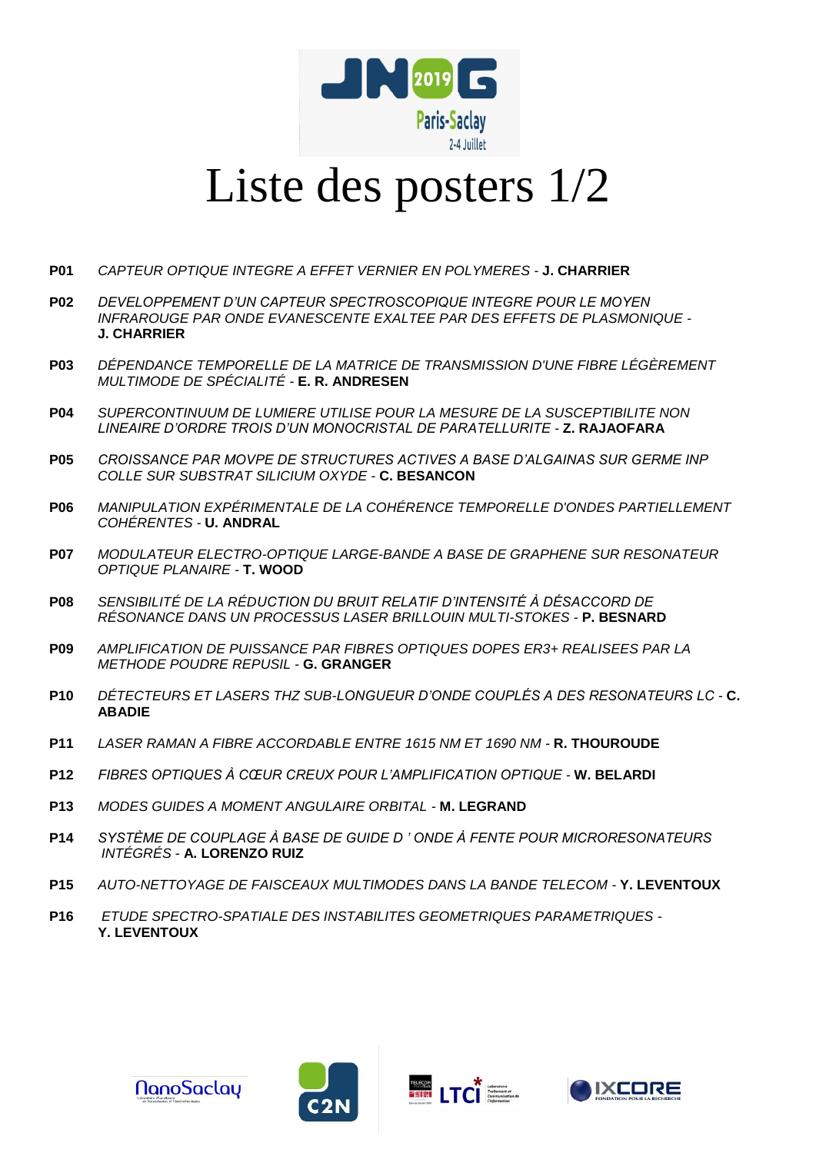

## Liste des posters 1/2

- **P01** *CAPTEUR OPTIQUE INTEGRE A EFFET VERNIER EN POLYMERES -* **J. CHARRIER**
- **P02** *DEVELOPPEMENT D'UN CAPTEUR SPECTROSCOPIQUE INTEGRE POUR LE MOYEN INFRAROUGE PAR ONDE EVANESCENTE EXALTEE PAR DES EFFETS DE PLASMONIQUE -* **J. CHARRIER**
- **P03** *DÉPENDANCE TEMPORELLE DE LA MATRICE DE TRANSMISSION D'UNE FIBRE LÉGÈREMENT MULTIMODE DE SPÉCIALITÉ -* **E. R. ANDRESEN**
- **P04** *SUPERCONTINUUM DE LUMIERE UTILISE POUR LA MESURE DE LA SUSCEPTIBILITE NON LINEAIRE D'ORDRE TROIS D'UN MONOCRISTAL DE PARATELLURITE -* **Z. RAJAOFARA**
- **P05** *CROISSANCE PAR MOVPE DE STRUCTURES ACTIVES A BASE D'ALGAINAS SUR GERME INP COLLE SUR SUBSTRAT SILICIUM OXYDE -* **C. BESANCON**
- **P06** *MANIPULATION EXPÉRIMENTALE DE LA COHÉRENCE TEMPORELLE D'ONDES PARTIELLEMENT COHÉRENTES -* **U. ANDRAL**
- **P07** *MODULATEUR ELECTRO-OPTIQUE LARGE-BANDE A BASE DE GRAPHENE SUR RESONATEUR OPTIQUE PLANAIRE -* **T. WOOD**
- **P08** *SENSIBILITÉ DE LA RÉDUCTION DU BRUIT RELATIF D'INTENSITÉ À DÉSACCORD DE RÉSONANCE DANS UN PROCESSUS LASER BRILLOUIN MULTI-STOKES -* **P. BESNARD**
- **P09** *AMPLIFICATION DE PUISSANCE PAR FIBRES OPTIQUES DOPES ER3+ REALISEES PAR LA METHODE POUDRE REPUSIL -* **G. GRANGER**
- **P10** *DÉTECTEURS ET LASERS THZ SUB-LONGUEUR D'ONDE COUPLÉS A DES RESONATEURS LC -* **C. ABADIE**
- **P11** *LASER RAMAN A FIBRE ACCORDABLE ENTRE 1615 NM ET 1690 NM -* **R. THOUROUDE**
- **P12** *FIBRES OPTIQUES À CŒUR CREUX POUR L'AMPLIFICATION OPTIQUE -* **W. BELARDI**
- **P13** *MODES GUIDES A MOMENT ANGULAIRE ORBITAL -* **M. LEGRAND**
- **P14** *SYSTÈME DE COUPLAGE À BASE DE GUIDE D ' ONDE À FENTE POUR MICRORESONATEURS INTÉGRÉS -* **A. LORENZO RUIZ**
- **P15** *AUTO-NETTOYAGE DE FAISCEAUX MULTIMODES DANS LA BANDE TELECOM -* **Y. LEVENTOUX**
- **P16** *ETUDE SPECTRO-SPATIALE DES INSTABILITES GEOMETRIQUES PARAMETRIQUES -* **Y. LEVENTOUX**